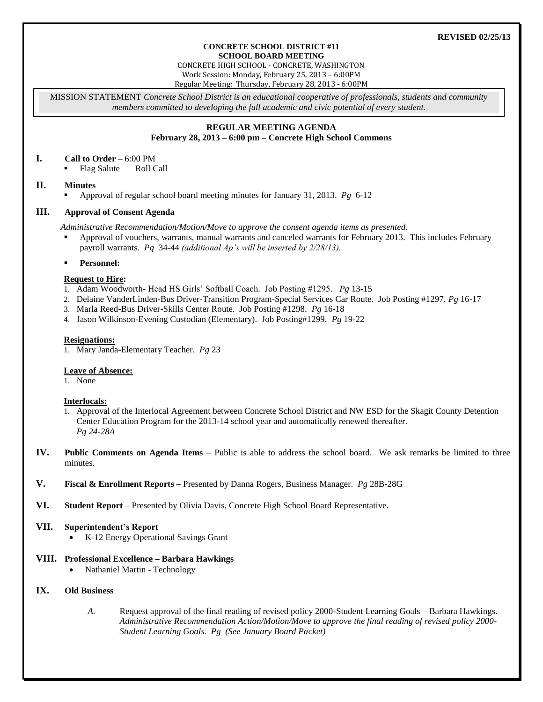#### **REVISED 02/25/13**

#### **CONCRETE SCHOOL DISTRICT #11 SCHOOL BOARD MEETING**

CONCRETE HIGH SCHOOL - CONCRETE, WASHINGTON Work Session: Monday, February 25, 2013 – 6:00PM Regular Meeting: Thursday, February 28, 2013 - 6:00PM

MISSION STATEMENT *Concrete School District is an educational cooperative of professionals, students and community members committed to developing the full academic and civic potential of every student.*

#### **REGULAR MEETING AGENDA February 28, 2013 – 6:00 pm – Concrete High School Commons**

#### **I. Call to Order** – 6:00 PM

Flag Salute Roll Call

## **II. Minutes**

Approval of regular school board meeting minutes for January 31, 2013. *Pg* 6-12

## **III. Approval of Consent Agenda**

*Administrative Recommendation/Motion/Move to approve the consent agenda items as presented.*

 Approval of vouchers, warrants, manual warrants and canceled warrants for February 2013. This includes February payroll warrants. *Pg* 34-44 *(additional Ap's will be inserted by 2/28/13).*

## **Personnel:**

#### **Request to Hire:**

- 1. Adam Woodworth*-* Head HS Girls' Softball Coach. Job Posting #1295. *Pg* 13-15
- 2. Delaine VanderLinden-Bus Driver-Transition Program-Special Services Car Route. Job Posting #1297. *Pg* 16-17
- 3. Marla Reed-Bus Driver-Skills Center Route. Job Posting #1298. *Pg* 16-18
- 4. Jason Wilkinson-Evening Custodian (Elementary). Job Posting#1299. *Pg* 19-22

#### **Resignations:**

1. Mary Janda-Elementary Teacher. *Pg* 23

## **Leave of Absence:**

1. None

## **Interlocals:**

- 1. Approval of the Interlocal Agreement between Concrete School District and NW ESD for the Skagit County Detention Center Education Program for the 2013-14 school year and automatically renewed thereafter. *Pg 24-28A*
- **IV. Public Comments on Agenda Items** Public is able to address the school board. We ask remarks be limited to three minutes.
- **V. Fiscal & Enrollment Reports –** Presented by Danna Rogers, Business Manager. *Pg* 28B-28G
- **VI. Student Report** Presented by Olivia Davis, Concrete High School Board Representative.

## **VII. Superintendent's Report**

• K-12 Energy Operational Savings Grant

## **VIII. Professional Excellence – Barbara Hawkings**

Nathaniel Martin - Technology

## **IX. Old Business**

*A.* Request approval of the final reading of revised policy 2000-Student Learning Goals – Barbara Hawkings. *Administrative Recommendation Action/Motion/Move to approve the final reading of revised policy 2000- Student Learning Goals. Pg (See January Board Packet)*